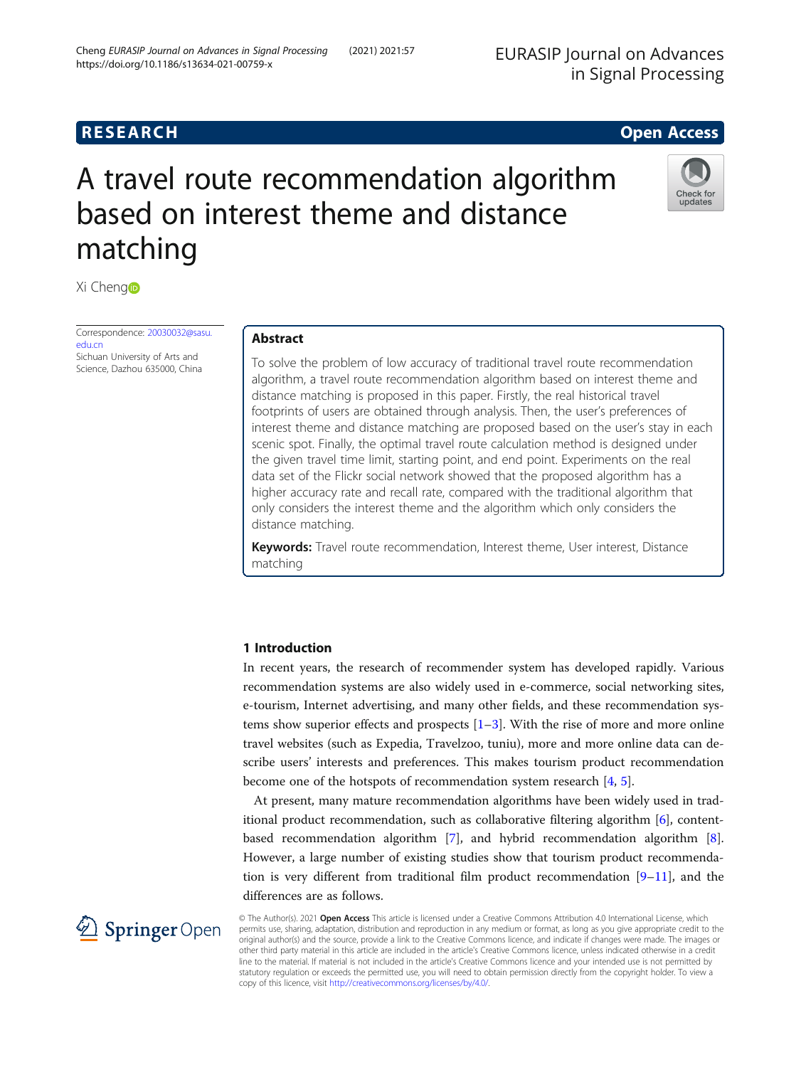# **RESEARCH RESEARCH CONSUMING ACCESS**

Check for update

# A travel route recommendation algorithm based on interest theme and distance matching



Correspondence: [20030032@sasu.](mailto:20030032@sasu.edu.cn) [edu.cn](mailto:20030032@sasu.edu.cn) Sichuan University of Arts and Science, Dazhou 635000, China

# Abstract

To solve the problem of low accuracy of traditional travel route recommendation algorithm, a travel route recommendation algorithm based on interest theme and distance matching is proposed in this paper. Firstly, the real historical travel footprints of users are obtained through analysis. Then, the user's preferences of interest theme and distance matching are proposed based on the user's stay in each scenic spot. Finally, the optimal travel route calculation method is designed under the given travel time limit, starting point, and end point. Experiments on the real data set of the Flickr social network showed that the proposed algorithm has a higher accuracy rate and recall rate, compared with the traditional algorithm that only considers the interest theme and the algorithm which only considers the distance matching.

Keywords: Travel route recommendation, Interest theme, User interest, Distance matching

## 1 Introduction

In recent years, the research of recommender system has developed rapidly. Various recommendation systems are also widely used in e-commerce, social networking sites, e-tourism, Internet advertising, and many other fields, and these recommendation systems show superior effects and prospects  $[1-3]$  $[1-3]$  $[1-3]$ . With the rise of more and more online travel websites (such as Expedia, Travelzoo, tuniu), more and more online data can describe users' interests and preferences. This makes tourism product recommendation become one of the hotspots of recommendation system research [[4,](#page-9-0) [5\]](#page-9-0).

At present, many mature recommendation algorithms have been widely used in traditional product recommendation, such as collaborative filtering algorithm [\[6](#page-9-0)], contentbased recommendation algorithm [\[7](#page-9-0)], and hybrid recommendation algorithm [\[8](#page-9-0)]. However, a large number of existing studies show that tourism product recommendation is very different from traditional film product recommendation  $[9-11]$  $[9-11]$  $[9-11]$ , and the differences are as follows.

 $\mathscr{L}$  Springer Open

© The Author(s). 2021 Open Access This article is licensed under a Creative Commons Attribution 4.0 International License, which permits use, sharing, adaptation, distribution and reproduction in any medium or format, as long as you give appropriate credit to the original author(s) and the source, provide a link to the Creative Commons licence, and indicate if changes were made. The images or other third party material in this article are included in the article's Creative Commons licence, unless indicated otherwise in a credit line to the material. If material is not included in the article's Creative Commons licence and your intended use is not permitted by statutory regulation or exceeds the permitted use, you will need to obtain permission directly from the copyright holder. To view a copy of this licence, visit <http://creativecommons.org/licenses/by/4.0/>.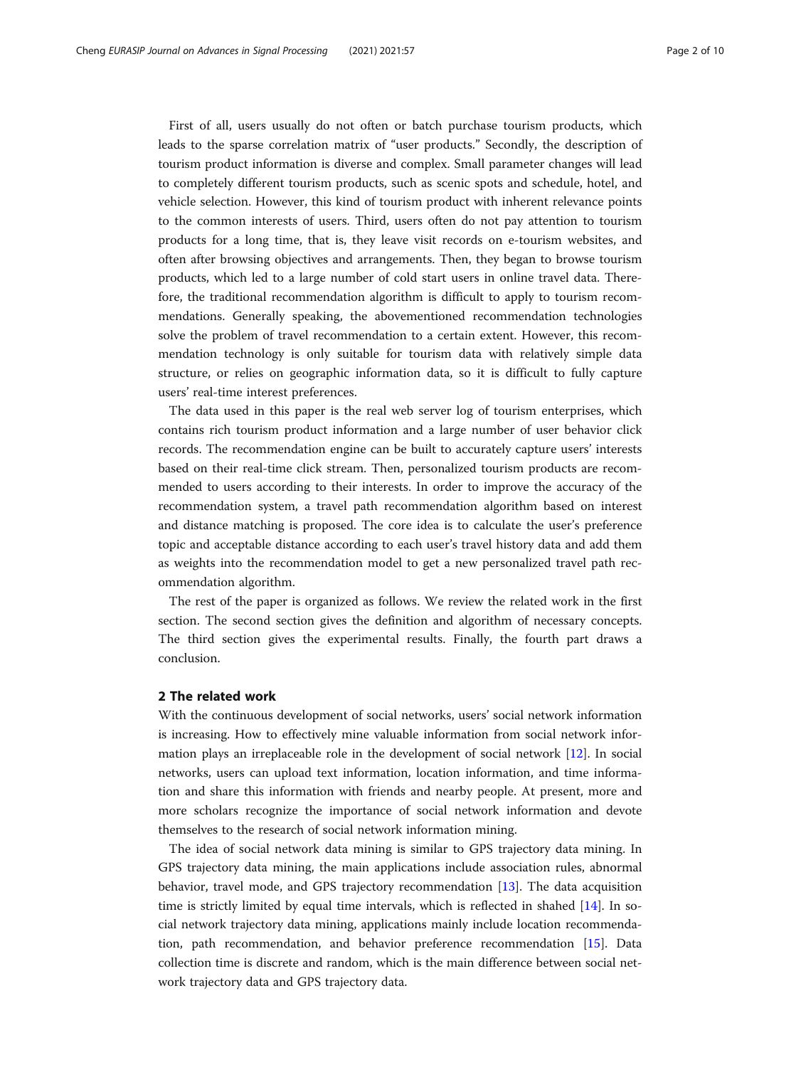First of all, users usually do not often or batch purchase tourism products, which leads to the sparse correlation matrix of "user products." Secondly, the description of tourism product information is diverse and complex. Small parameter changes will lead to completely different tourism products, such as scenic spots and schedule, hotel, and vehicle selection. However, this kind of tourism product with inherent relevance points to the common interests of users. Third, users often do not pay attention to tourism products for a long time, that is, they leave visit records on e-tourism websites, and often after browsing objectives and arrangements. Then, they began to browse tourism products, which led to a large number of cold start users in online travel data. Therefore, the traditional recommendation algorithm is difficult to apply to tourism recommendations. Generally speaking, the abovementioned recommendation technologies solve the problem of travel recommendation to a certain extent. However, this recommendation technology is only suitable for tourism data with relatively simple data structure, or relies on geographic information data, so it is difficult to fully capture users' real-time interest preferences.

The data used in this paper is the real web server log of tourism enterprises, which contains rich tourism product information and a large number of user behavior click records. The recommendation engine can be built to accurately capture users' interests based on their real-time click stream. Then, personalized tourism products are recommended to users according to their interests. In order to improve the accuracy of the recommendation system, a travel path recommendation algorithm based on interest and distance matching is proposed. The core idea is to calculate the user's preference topic and acceptable distance according to each user's travel history data and add them as weights into the recommendation model to get a new personalized travel path recommendation algorithm.

The rest of the paper is organized as follows. We review the related work in the first section. The second section gives the definition and algorithm of necessary concepts. The third section gives the experimental results. Finally, the fourth part draws a conclusion.

#### 2 The related work

With the continuous development of social networks, users' social network information is increasing. How to effectively mine valuable information from social network information plays an irreplaceable role in the development of social network [[12\]](#page-9-0). In social networks, users can upload text information, location information, and time information and share this information with friends and nearby people. At present, more and more scholars recognize the importance of social network information and devote themselves to the research of social network information mining.

The idea of social network data mining is similar to GPS trajectory data mining. In GPS trajectory data mining, the main applications include association rules, abnormal behavior, travel mode, and GPS trajectory recommendation [\[13](#page-9-0)]. The data acquisition time is strictly limited by equal time intervals, which is reflected in shahed [[14](#page-9-0)]. In social network trajectory data mining, applications mainly include location recommendation, path recommendation, and behavior preference recommendation [[15\]](#page-9-0). Data collection time is discrete and random, which is the main difference between social network trajectory data and GPS trajectory data.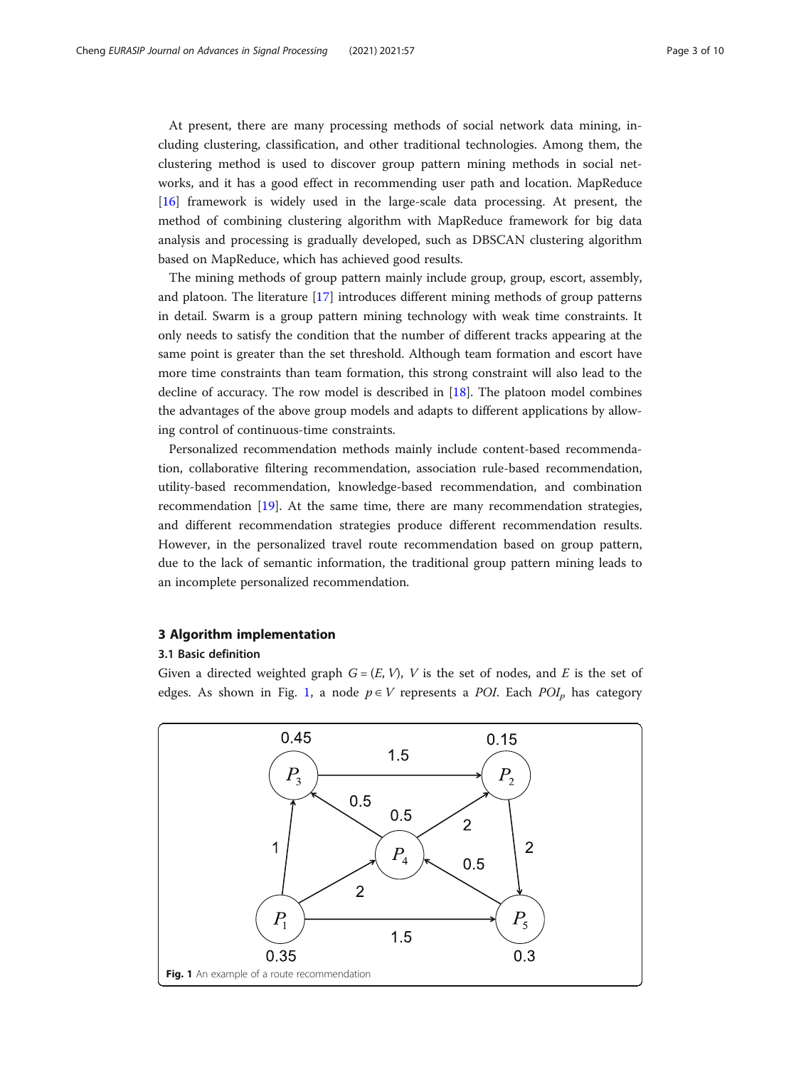At present, there are many processing methods of social network data mining, including clustering, classification, and other traditional technologies. Among them, the clustering method is used to discover group pattern mining methods in social networks, and it has a good effect in recommending user path and location. MapReduce [[16\]](#page-9-0) framework is widely used in the large-scale data processing. At present, the method of combining clustering algorithm with MapReduce framework for big data analysis and processing is gradually developed, such as DBSCAN clustering algorithm based on MapReduce, which has achieved good results.

The mining methods of group pattern mainly include group, group, escort, assembly, and platoon. The literature [\[17](#page-9-0)] introduces different mining methods of group patterns in detail. Swarm is a group pattern mining technology with weak time constraints. It only needs to satisfy the condition that the number of different tracks appearing at the same point is greater than the set threshold. Although team formation and escort have more time constraints than team formation, this strong constraint will also lead to the decline of accuracy. The row model is described in [[18\]](#page-9-0). The platoon model combines the advantages of the above group models and adapts to different applications by allowing control of continuous-time constraints.

Personalized recommendation methods mainly include content-based recommendation, collaborative filtering recommendation, association rule-based recommendation, utility-based recommendation, knowledge-based recommendation, and combination recommendation [[19](#page-9-0)]. At the same time, there are many recommendation strategies, and different recommendation strategies produce different recommendation results. However, in the personalized travel route recommendation based on group pattern, due to the lack of semantic information, the traditional group pattern mining leads to an incomplete personalized recommendation.

#### 3 Algorithm implementation

#### 3.1 Basic definition

Given a directed weighted graph  $G = (E, V)$ , V is the set of nodes, and E is the set of edges. As shown in Fig. 1, a node  $p \in V$  represents a POI. Each POI<sub>p</sub> has category

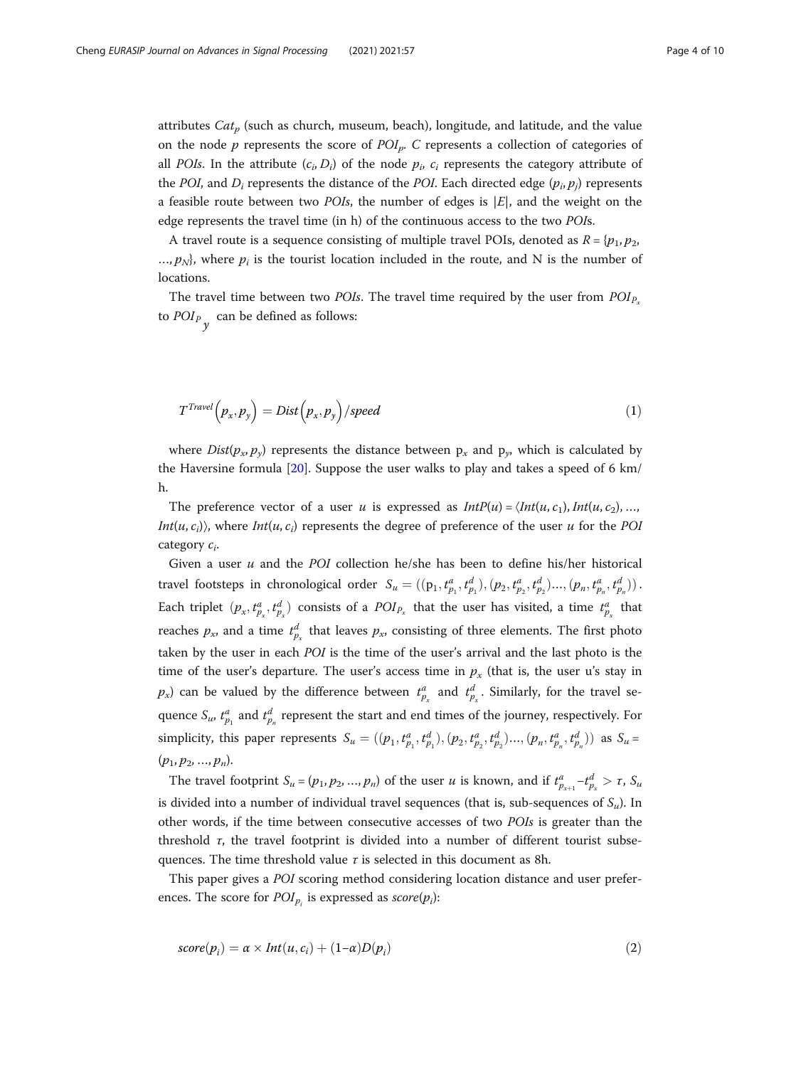attributes  $Cat_n$  (such as church, museum, beach), longitude, and latitude, and the value on the node p represents the score of  $POI<sub>p</sub>$ . C represents a collection of categories of all POIs. In the attribute  $(c_i, D_i)$  of the node  $p_i$ ,  $c_i$  represents the category attribute of the POI, and  $D_i$  represents the distance of the POI. Each directed edge  $(p_i, p_j)$  represents a feasible route between two *POIs*, the number of edges is  $|E|$ , and the weight on the edge represents the travel time (in h) of the continuous access to the two POIs.

A travel route is a sequence consisting of multiple travel POIs, denoted as  $R = \{p_1, p_2, \ldots, p_n\}$  $..., p_N$ , where  $p_i$  is the tourist location included in the route, and N is the number of locations.

The travel time between two *POIs*. The travel time required by the user from  $POI<sub>P</sub>$ . to  $POI_{P_{\gamma}}$  can be defined as follows:

$$
T^{Travel}\left(p_x, p_y\right) = Dist\left(p_x, p_y\right)/speed \tag{1}
$$

where  $Dist(p_x, p_y)$  represents the distance between  $p_x$  and  $p_y$ , which is calculated by the Haversine formula [\[20](#page-9-0)]. Suppose the user walks to play and takes a speed of 6 km/ h.

The preference vector of a user u is expressed as  $IntP(u) = \langle Int(u, c_1), Int(u, c_2), \ldots,$  $Int(u, c_i)$ , where  $Int(u, c_i)$  represents the degree of preference of the user u for the POI category  $c_i$ .

Given a user  $u$  and the POI collection he/she has been to define his/her historical travel footsteps in chronological order  $S_u = ((p_1, t_{p_1}^a, t_{p_1}^d), (p_2, t_{p_2}^a, t_{p_2}^d), ..., (p_n, t_{p_n}^a, t_{p_n}^d))$ . Each triplet  $(p_x, t_{p_x}^a, t_{p_x}^d)$  consists of a  $POI_{P_x}$  that the user has visited, a time  $t_{p_x}^a$  that reaches  $p_x$ , and a time  $t^d_{p_x}$  that leaves  $p_x$ , consisting of three elements. The first photo taken by the user in each POI is the time of the user's arrival and the last photo is the time of the user's departure. The user's access time in  $p_x$  (that is, the user u's stay in  $p_x$ ) can be valued by the difference between  $t_{p_x}^a$  and  $t_{p_x}^d$ . Similarly, for the travel sequence  $S_u$ ,  $t_{p_1}^d$  and  $t_{p_n}^d$  represent the start and end times of the journey, respectively. For simplicity, this paper represents  $S_u = ((p_1, t_{p_1}^a, t_{p_1}^d), (p_2, t_{p_2}^a, t_{p_2}^d), ..., (p_n, t_{p_n}^a, t_{p_n}^d))$  as  $S_u =$  $(p_1, p_2, ..., p_n).$ 

The travel footprint  $S_u = (p_1, p_2, ..., p_n)$  of the user u is known, and if  $t_{p_{x+1}}^a - t_{p_x}^d > \tau$ ,  $S_u$ is divided into a number of individual travel sequences (that is, sub-sequences of  $S_u$ ). In other words, if the time between consecutive accesses of two POIs is greater than the threshold  $\tau$ , the travel footprint is divided into a number of different tourist subsequences. The time threshold value  $\tau$  is selected in this document as 8h.

This paper gives a POI scoring method considering location distance and user preferences. The score for  $POI_{p_i}$  is expressed as  $score(p_i)$ :

$$
score(p_i) = \alpha \times Int(u, c_i) + (1 - \alpha)D(p_i)
$$
\n(2)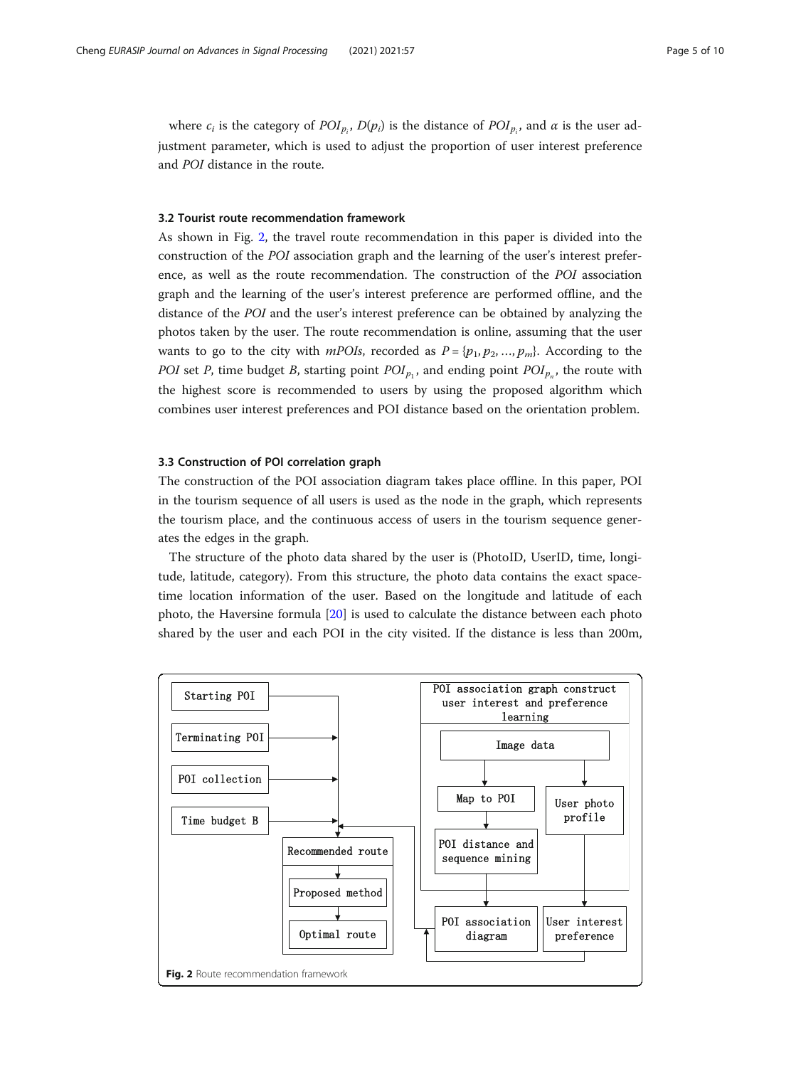where  $c_i$  is the category of  $POI_{p_i}$ ,  $D(p_i)$  is the distance of  $POI_{p_i}$ , and  $\alpha$  is the user adjustment parameter, which is used to adjust the proportion of user interest preference and POI distance in the route.

#### 3.2 Tourist route recommendation framework

As shown in Fig. 2, the travel route recommendation in this paper is divided into the construction of the POI association graph and the learning of the user's interest preference, as well as the route recommendation. The construction of the POI association graph and the learning of the user's interest preference are performed offline, and the distance of the POI and the user's interest preference can be obtained by analyzing the photos taken by the user. The route recommendation is online, assuming that the user wants to go to the city with *mPOIs*, recorded as  $P = \{p_1, p_2, ..., p_m\}$ . According to the POI set P, time budget B, starting point  $POI_{p_1}$ , and ending point  $POI_{p_n}$ , the route with the highest score is recommended to users by using the proposed algorithm which combines user interest preferences and POI distance based on the orientation problem.

#### 3.3 Construction of POI correlation graph

The construction of the POI association diagram takes place offline. In this paper, POI in the tourism sequence of all users is used as the node in the graph, which represents the tourism place, and the continuous access of users in the tourism sequence generates the edges in the graph.

The structure of the photo data shared by the user is (PhotoID, UserID, time, longitude, latitude, category). From this structure, the photo data contains the exact spacetime location information of the user. Based on the longitude and latitude of each photo, the Haversine formula [\[20\]](#page-9-0) is used to calculate the distance between each photo shared by the user and each POI in the city visited. If the distance is less than 200m,

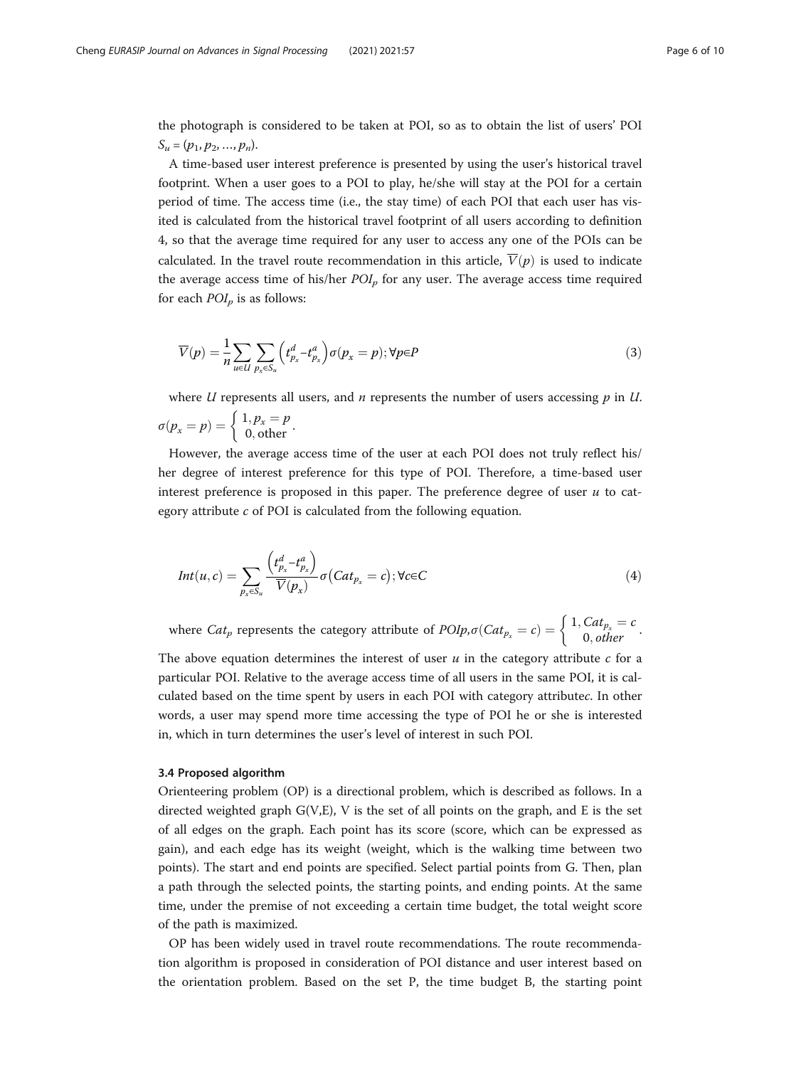the photograph is considered to be taken at POI, so as to obtain the list of users' POI  $S_u = (p_1, p_2, ..., p_n).$ 

A time-based user interest preference is presented by using the user's historical travel footprint. When a user goes to a POI to play, he/she will stay at the POI for a certain period of time. The access time (i.e., the stay time) of each POI that each user has visited is calculated from the historical travel footprint of all users according to definition 4, so that the average time required for any user to access any one of the POIs can be calculated. In the travel route recommendation in this article,  $\overline{V}(p)$  is used to indicate the average access time of his/her  $POI<sub>p</sub>$  for any user. The average access time required for each  $POI_p$  is as follows:

$$
\overline{V}(p) = \frac{1}{n} \sum_{u \in U} \sum_{p_x \in S_u} \left( t_{p_x}^d - t_{p_x}^a \right) \sigma(p_x = p); \forall p \in P \tag{3}
$$

where U represents all users, and *n* represents the number of users accessing  $p$  in U.  $\sigma(p_x = p) = \begin{cases} 1, p_x = p \ 0, \text{other} \end{cases}.$ 

However, the average access time of the user at each POI does not truly reflect his/ her degree of interest preference for this type of POI. Therefore, a time-based user interest preference is proposed in this paper. The preference degree of user  $u$  to category attribute  $c$  of POI is calculated from the following equation.

$$
Int(u,c) = \sum_{p_x \in S_u} \frac{\left(t_{p_x}^d - t_{p_x}^a\right)}{\overline{V}(p_x)} \sigma(Cat_{p_x} = c); \forall c \in C
$$
\n
$$
(4)
$$

where  $Cat_p$  represents the category attribute of  $POlp, \sigma(Cat_{p_x} = c) = \begin{cases} 1, Cat_{p_x} = c \\ 0, other \end{cases}$ .

The above equation determines the interest of user  $u$  in the category attribute  $c$  for a particular POI. Relative to the average access time of all users in the same POI, it is calculated based on the time spent by users in each POI with category attributec. In other words, a user may spend more time accessing the type of POI he or she is interested in, which in turn determines the user's level of interest in such POI.

#### 3.4 Proposed algorithm

Orienteering problem (OP) is a directional problem, which is described as follows. In a directed weighted graph  $G(V,E)$ , V is the set of all points on the graph, and E is the set of all edges on the graph. Each point has its score (score, which can be expressed as gain), and each edge has its weight (weight, which is the walking time between two points). The start and end points are specified. Select partial points from G. Then, plan a path through the selected points, the starting points, and ending points. At the same time, under the premise of not exceeding a certain time budget, the total weight score of the path is maximized.

OP has been widely used in travel route recommendations. The route recommendation algorithm is proposed in consideration of POI distance and user interest based on the orientation problem. Based on the set P, the time budget B, the starting point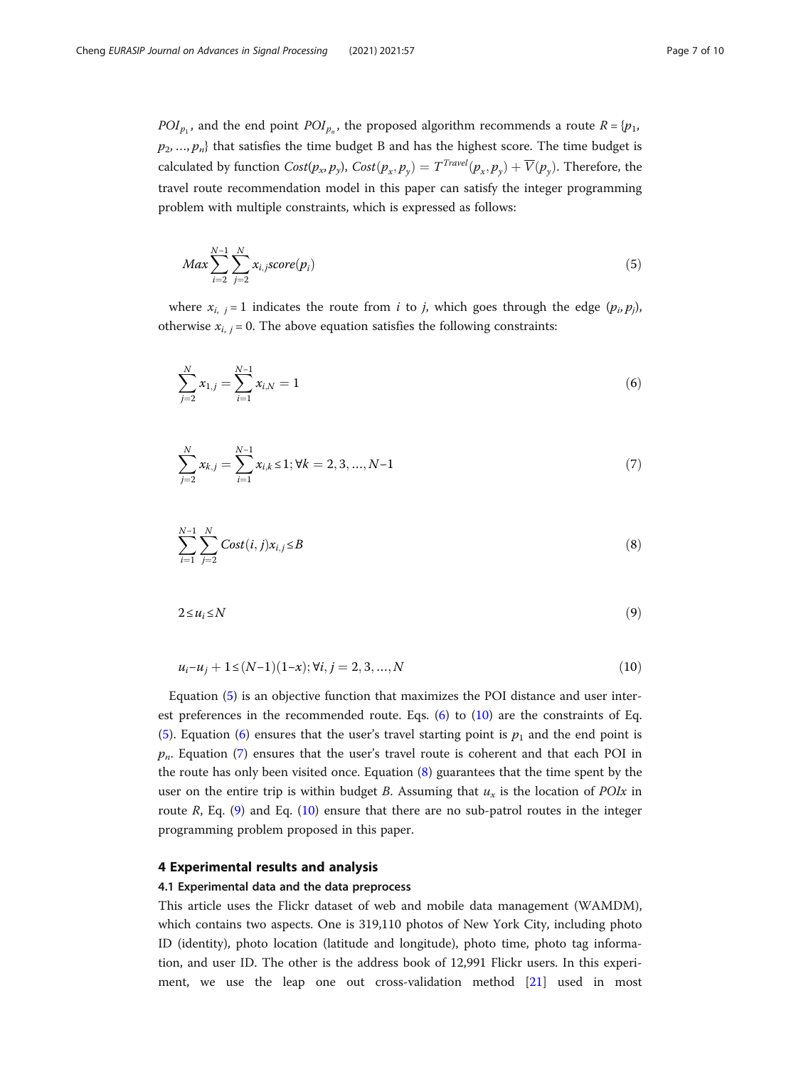$$
Max \sum_{i=2}^{N-1} \sum_{j=2}^{N} x_{i,jscore}(p_i)
$$
\n(5)

where  $x_{i,j} = 1$  indicates the route from *i* to *j*, which goes through the edge  $(p_i, p_j)$ , otherwise  $x_{i, j} = 0$ . The above equation satisfies the following constraints:

$$
\sum_{j=2}^{N} x_{1,j} = \sum_{i=1}^{N-1} x_{i,N} = 1
$$
\n(6)

$$
\sum_{j=2}^{N} x_{k,j} = \sum_{i=1}^{N-1} x_{i,k} \le 1; \forall k = 2, 3, ..., N-1
$$
\n(7)

$$
\sum_{i=1}^{N-1} \sum_{j=2}^{N} Cost(i, j)x_{i,j} \le B
$$
\n(8)

$$
2 \le u_i \le N \tag{9}
$$

$$
u_i - u_j + 1 \le (N-1)(1-x); \forall i, j = 2, 3, ..., N
$$
\n(10)

Equation (5) is an objective function that maximizes the POI distance and user interest preferences in the recommended route. Eqs. (6) to (10) are the constraints of Eq. (5). Equation (6) ensures that the user's travel starting point is  $p_1$  and the end point is  $p_n$ . Equation (7) ensures that the user's travel route is coherent and that each POI in the route has only been visited once. Equation (8) guarantees that the time spent by the user on the entire trip is within budget B. Assuming that  $u_x$  is the location of POIx in route  $R$ , Eq.  $(9)$  and Eq.  $(10)$  ensure that there are no sub-patrol routes in the integer programming problem proposed in this paper.

#### 4 Experimental results and analysis

#### 4.1 Experimental data and the data preprocess

This article uses the Flickr dataset of web and mobile data management (WAMDM), which contains two aspects. One is 319,110 photos of New York City, including photo ID (identity), photo location (latitude and longitude), photo time, photo tag information, and user ID. The other is the address book of 12,991 Flickr users. In this experiment, we use the leap one out cross-validation method [[21\]](#page-9-0) used in most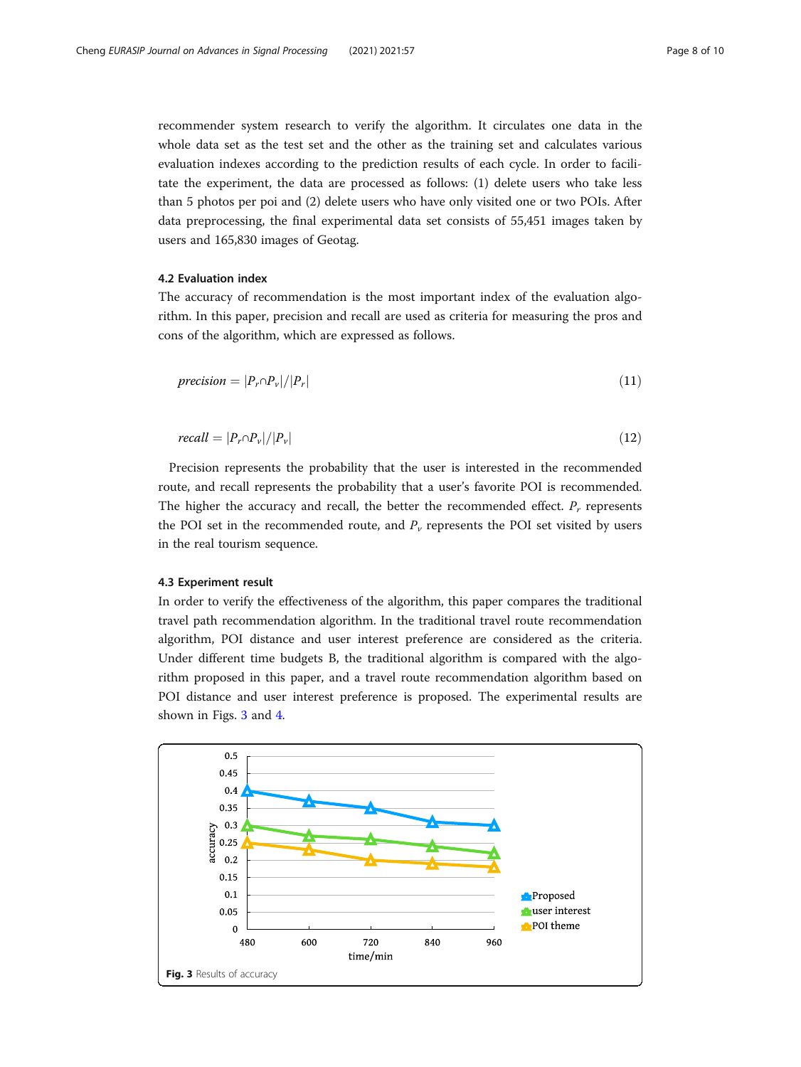<span id="page-7-0"></span>recommender system research to verify the algorithm. It circulates one data in the whole data set as the test set and the other as the training set and calculates various evaluation indexes according to the prediction results of each cycle. In order to facilitate the experiment, the data are processed as follows: (1) delete users who take less than 5 photos per poi and (2) delete users who have only visited one or two POIs. After data preprocessing, the final experimental data set consists of 55,451 images taken by users and 165,830 images of Geotag.

### 4.2 Evaluation index

The accuracy of recommendation is the most important index of the evaluation algorithm. In this paper, precision and recall are used as criteria for measuring the pros and cons of the algorithm, which are expressed as follows.

$$
precision = |P_r \cap P_v| / |P_r| \tag{11}
$$

$$
recall = |P_r \cap P_v|/|P_v| \tag{12}
$$

Precision represents the probability that the user is interested in the recommended route, and recall represents the probability that a user's favorite POI is recommended. The higher the accuracy and recall, the better the recommended effect.  $P_r$  represents the POI set in the recommended route, and  $P_v$  represents the POI set visited by users in the real tourism sequence.

#### 4.3 Experiment result

In order to verify the effectiveness of the algorithm, this paper compares the traditional travel path recommendation algorithm. In the traditional travel route recommendation algorithm, POI distance and user interest preference are considered as the criteria. Under different time budgets B, the traditional algorithm is compared with the algorithm proposed in this paper, and a travel route recommendation algorithm based on POI distance and user interest preference is proposed. The experimental results are shown in Figs. 3 and [4.](#page-8-0)

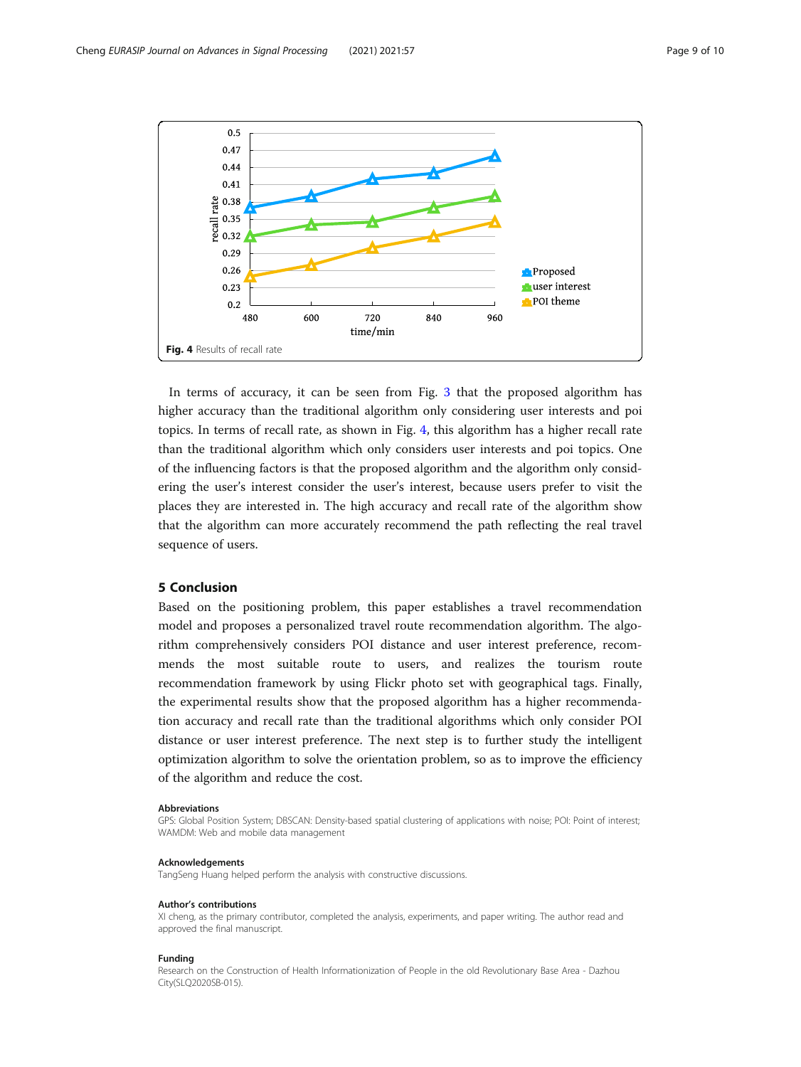<span id="page-8-0"></span>

In terms of accuracy, it can be seen from Fig. [3](#page-7-0) that the proposed algorithm has higher accuracy than the traditional algorithm only considering user interests and poi topics. In terms of recall rate, as shown in Fig. 4, this algorithm has a higher recall rate than the traditional algorithm which only considers user interests and poi topics. One of the influencing factors is that the proposed algorithm and the algorithm only considering the user's interest consider the user's interest, because users prefer to visit the places they are interested in. The high accuracy and recall rate of the algorithm show that the algorithm can more accurately recommend the path reflecting the real travel sequence of users.

### 5 Conclusion

Based on the positioning problem, this paper establishes a travel recommendation model and proposes a personalized travel route recommendation algorithm. The algorithm comprehensively considers POI distance and user interest preference, recommends the most suitable route to users, and realizes the tourism route recommendation framework by using Flickr photo set with geographical tags. Finally, the experimental results show that the proposed algorithm has a higher recommendation accuracy and recall rate than the traditional algorithms which only consider POI distance or user interest preference. The next step is to further study the intelligent optimization algorithm to solve the orientation problem, so as to improve the efficiency of the algorithm and reduce the cost.

#### Abbreviations

GPS: Global Position System; DBSCAN: Density-based spatial clustering of applications with noise; POI: Point of interest; WAMDM: Web and mobile data management

#### Acknowledgements

TangSeng Huang helped perform the analysis with constructive discussions.

#### Author's contributions

XI cheng, as the primary contributor, completed the analysis, experiments, and paper writing. The author read and approved the final manuscript.

#### Funding

Research on the Construction of Health Informationization of People in the old Revolutionary Base Area - Dazhou City(SLQ2020SB-015).